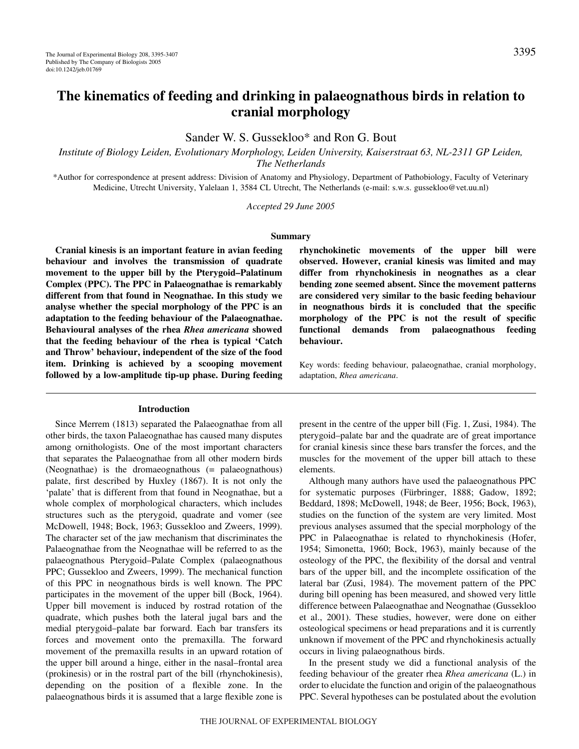# **The kinematics of feeding and drinking in palaeognathous birds in relation to cranial morphology**

Sander W. S. Gussekloo\* and Ron G. Bout

*Institute of Biology Leiden, Evolutionary Morphology, Leiden University, Kaiserstraat 63, NL-2311 GP Leiden, The Netherlands*

\*Author for correspondence at present address: Division of Anatomy and Physiology, Department of Pathobiology, Faculty of Veterinary Medicine, Utrecht University, Yalelaan 1, 3584 CL Utrecht, The Netherlands (e-mail: s.w.s. gussekloo@vet.uu.nl)

*Accepted 29 June 2005*

#### **Summary**

**Cranial kinesis is an important feature in avian feeding behaviour and involves the transmission of quadrate movement to the upper bill by the Pterygoid–Palatinum Complex (PPC). The PPC in Palaeognathae is remarkably different from that found in Neognathae. In this study we analyse whether the special morphology of the PPC is an adaptation to the feeding behaviour of the Palaeognathae. Behavioural analyses of the rhea** *Rhea americana* **showed that the feeding behaviour of the rhea is typical 'Catch and Throw' behaviour, independent of the size of the food item. Drinking is achieved by a scooping movement followed by a low-amplitude tip-up phase. During feeding**

#### **Introduction**

Since Merrem (1813) separated the Palaeognathae from all other birds, the taxon Palaeognathae has caused many disputes among ornithologists. One of the most important characters that separates the Palaeognathae from all other modern birds (Neognathae) is the dromaeognathous (= palaeognathous) palate, first described by Huxley (1867). It is not only the 'palate' that is different from that found in Neognathae, but a whole complex of morphological characters, which includes structures such as the pterygoid, quadrate and vomer (see McDowell, 1948; Bock, 1963; Gussekloo and Zweers, 1999). The character set of the jaw mechanism that discriminates the Palaeognathae from the Neognathae will be referred to as the palaeognathous Pterygoid–Palate Complex (palaeognathous PPC; Gussekloo and Zweers, 1999). The mechanical function of this PPC in neognathous birds is well known. The PPC participates in the movement of the upper bill (Bock, 1964). Upper bill movement is induced by rostrad rotation of the quadrate, which pushes both the lateral jugal bars and the medial pterygoid–palate bar forward. Each bar transfers its forces and movement onto the premaxilla. The forward movement of the premaxilla results in an upward rotation of the upper bill around a hinge, either in the nasal–frontal area (prokinesis) or in the rostral part of the bill (rhynchokinesis), depending on the position of a flexible zone. In the palaeognathous birds it is assumed that a large flexible zone is **rhynchokinetic movements of the upper bill were observed. However, cranial kinesis was limited and may differ from rhynchokinesis in neognathes as a clear bending zone seemed absent. Since the movement patterns are considered very similar to the basic feeding behaviour in neognathous birds it is concluded that the specific morphology of the PPC is not the result of specific functional demands from palaeognathous feeding behaviour.**

Key words: feeding behaviour, palaeognathae, cranial morphology, adaptation, *Rhea americana*.

present in the centre of the upper bill (Fig. 1, Zusi, 1984). The pterygoid–palate bar and the quadrate are of great importance for cranial kinesis since these bars transfer the forces, and the muscles for the movement of the upper bill attach to these elements.

Although many authors have used the palaeognathous PPC for systematic purposes (Fürbringer, 1888; Gadow, 1892; Beddard, 1898; McDowell, 1948; de Beer, 1956; Bock, 1963), studies on the function of the system are very limited. Most previous analyses assumed that the special morphology of the PPC in Palaeognathae is related to rhynchokinesis (Hofer, 1954; Simonetta, 1960; Bock, 1963), mainly because of the osteology of the PPC, the flexibility of the dorsal and ventral bars of the upper bill, and the incomplete ossification of the lateral bar (Zusi, 1984). The movement pattern of the PPC during bill opening has been measured, and showed very little difference between Palaeognathae and Neognathae (Gussekloo et al., 2001). These studies, however, were done on either osteological specimens or head preparations and it is currently unknown if movement of the PPC and rhynchokinesis actually occurs in living palaeognathous birds.

In the present study we did a functional analysis of the feeding behaviour of the greater rhea *Rhea americana* (L.) in order to elucidate the function and origin of the palaeognathous PPC. Several hypotheses can be postulated about the evolution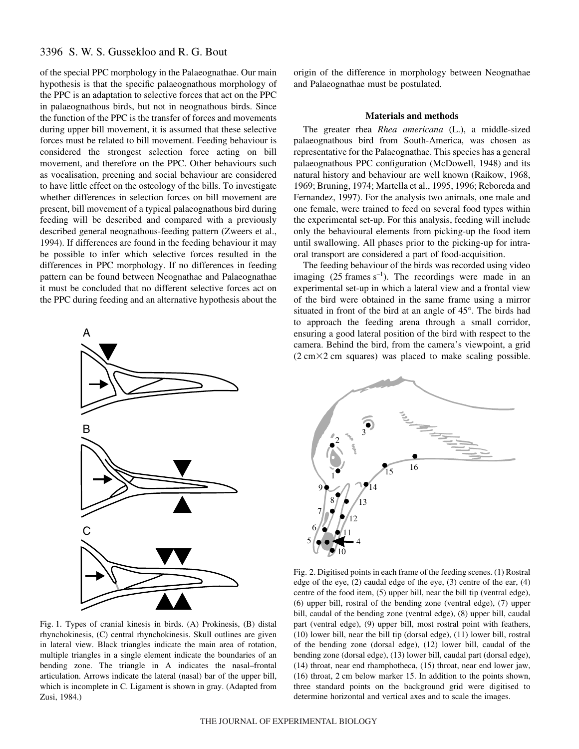# 3396 S. W. S. Gussekloo and R. G. Bout

of the special PPC morphology in the Palaeognathae. Our main hypothesis is that the specific palaeognathous morphology of the PPC is an adaptation to selective forces that act on the PPC in palaeognathous birds, but not in neognathous birds. Since the function of the PPC is the transfer of forces and movements during upper bill movement, it is assumed that these selective forces must be related to bill movement. Feeding behaviour is considered the strongest selection force acting on bill movement, and therefore on the PPC. Other behaviours such as vocalisation, preening and social behaviour are considered to have little effect on the osteology of the bills. To investigate whether differences in selection forces on bill movement are present, bill movement of a typical palaeognathous bird during feeding will be described and compared with a previously described general neognathous-feeding pattern (Zweers et al., 1994). If differences are found in the feeding behaviour it may be possible to infer which selective forces resulted in the differences in PPC morphology. If no differences in feeding pattern can be found between Neognathae and Palaeognathae it must be concluded that no different selective forces act on the PPC during feeding and an alternative hypothesis about the



Fig. 1. Types of cranial kinesis in birds. (A) Prokinesis, (B) distal rhynchokinesis, (C) central rhynchokinesis. Skull outlines are given in lateral view. Black triangles indicate the main area of rotation, multiple triangles in a single element indicate the boundaries of an bending zone. The triangle in A indicates the nasal–frontal articulation. Arrows indicate the lateral (nasal) bar of the upper bill, which is incomplete in C. Ligament is shown in gray. (Adapted from Zusi, 1984.)

origin of the difference in morphology between Neognathae and Palaeognathae must be postulated.

#### **Materials and methods**

The greater rhea *Rhea americana* (L.), a middle-sized palaeognathous bird from South-America, was chosen as representative for the Palaeognathae. This species has a general palaeognathous PPC configuration (McDowell, 1948) and its natural history and behaviour are well known (Raikow, 1968, 1969; Bruning, 1974; Martella et al., 1995, 1996; Reboreda and Fernandez, 1997). For the analysis two animals, one male and one female, were trained to feed on several food types within the experimental set-up. For this analysis, feeding will include only the behavioural elements from picking-up the food item until swallowing. All phases prior to the picking-up for intraoral transport are considered a part of food-acquisition.

The feeding behaviour of the birds was recorded using video imaging  $(25 \text{ frames s}^{-1})$ . The recordings were made in an experimental set-up in which a lateral view and a frontal view of the bird were obtained in the same frame using a mirror situated in front of the bird at an angle of 45°. The birds had to approach the feeding arena through a small corridor, ensuring a good lateral position of the bird with respect to the camera. Behind the bird, from the camera's viewpoint, a grid  $(2 \text{ cm} \times 2 \text{ cm} \text{ squares})$  was placed to make scaling possible.



Fig. 2. Digitised points in each frame of the feeding scenes. (1) Rostral edge of the eye, (2) caudal edge of the eye, (3) centre of the ear, (4) centre of the food item, (5) upper bill, near the bill tip (ventral edge), (6) upper bill, rostral of the bending zone (ventral edge), (7) upper bill, caudal of the bending zone (ventral edge), (8) upper bill, caudal part (ventral edge), (9) upper bill, most rostral point with feathers, (10) lower bill, near the bill tip (dorsal edge), (11) lower bill, rostral of the bending zone (dorsal edge), (12) lower bill, caudal of the bending zone (dorsal edge), (13) lower bill, caudal part (dorsal edge), (14) throat, near end rhamphotheca, (15) throat, near end lower jaw,  $(16)$  throat, 2 cm below marker 15. In addition to the points shown, three standard points on the background grid were digitised to determine horizontal and vertical axes and to scale the images.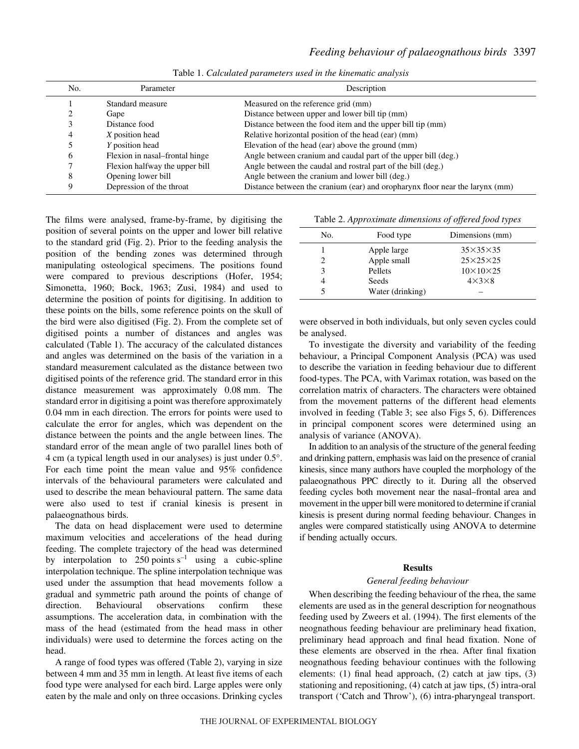| No.          | Parameter                      | Description                                                                  |
|--------------|--------------------------------|------------------------------------------------------------------------------|
|              | Standard measure               | Measured on the reference grid (mm)                                          |
|              | Gape                           | Distance between upper and lower bill tip (mm)                               |
|              | Distance food                  | Distance between the food item and the upper bill tip (mm)                   |
|              | X position head                | Relative horizontal position of the head (ear) (mm)                          |
|              | <i>Y</i> position head         | Elevation of the head (ear) above the ground (mm)                            |
| <sub>0</sub> | Flexion in nasal-frontal hinge | Angle between cranium and caudal part of the upper bill (deg.)               |
|              | Flexion halfway the upper bill | Angle between the caudal and rostral part of the bill (deg.)                 |
| 8            | Opening lower bill             | Angle between the cranium and lower bill (deg.)                              |
|              | Depression of the throat       | Distance between the cranium (ear) and oropharynx floor near the larynx (mm) |

Table 1. *Calculated parameters used in the kinematic analysis* 

The films were analysed, frame-by-frame, by digitising the position of several points on the upper and lower bill relative to the standard grid (Fig. 2). Prior to the feeding analysis the position of the bending zones was determined through manipulating osteological specimens. The positions found were compared to previous descriptions (Hofer, 1954; Simonetta, 1960; Bock, 1963; Zusi, 1984) and used to determine the position of points for digitising. In addition to these points on the bills, some reference points on the skull of the bird were also digitised (Fig. 2). From the complete set of digitised points a number of distances and angles was calculated (Table·1). The accuracy of the calculated distances and angles was determined on the basis of the variation in a standard measurement calculated as the distance between two digitised points of the reference grid. The standard error in this distance measurement was approximately 0.08 mm. The standard error in digitising a point was therefore approximately 0.04 mm in each direction. The errors for points were used to calculate the error for angles, which was dependent on the distance between the points and the angle between lines. The standard error of the mean angle of two parallel lines both of  $4 \text{ cm}$  (a typical length used in our analyses) is just under  $0.5^{\circ}$ . For each time point the mean value and 95% confidence intervals of the behavioural parameters were calculated and used to describe the mean behavioural pattern. The same data were also used to test if cranial kinesis is present in palaeognathous birds.

The data on head displacement were used to determine maximum velocities and accelerations of the head during feeding. The complete trajectory of the head was determined by interpolation to 250 points  $s^{-1}$  using a cubic-spline interpolation technique. The spline interpolation technique was used under the assumption that head movements follow a gradual and symmetric path around the points of change of direction. Behavioural observations confirm these assumptions. The acceleration data, in combination with the mass of the head (estimated from the head mass in other individuals) were used to determine the forces acting on the head.

A range of food types was offered (Table 2), varying in size between 4 mm and 35 mm in length. At least five items of each food type were analysed for each bird. Large apples were only eaten by the male and only on three occasions. Drinking cycles

Table 2. *Approximate dimensions of offered food types* 

| No. | Food type        | Dimensions (mm)      |
|-----|------------------|----------------------|
|     | Apple large      | $35\times35\times35$ |
|     | Apple small      | $25\times25\times25$ |
| 3   | Pellets          | $10\times10\times25$ |
|     | Seeds            | $4\times3\times8$    |
|     | Water (drinking) |                      |

were observed in both individuals, but only seven cycles could be analysed.

To investigate the diversity and variability of the feeding behaviour, a Principal Component Analysis (PCA) was used to describe the variation in feeding behaviour due to different food-types. The PCA, with Varimax rotation, was based on the correlation matrix of characters. The characters were obtained from the movement patterns of the different head elements involved in feeding (Table 3; see also Figs 5, 6). Differences in principal component scores were determined using an analysis of variance (ANOVA).

In addition to an analysis of the structure of the general feeding and drinking pattern, emphasis was laid on the presence of cranial kinesis, since many authors have coupled the morphology of the palaeognathous PPC directly to it. During all the observed feeding cycles both movement near the nasal–frontal area and movement in the upper bill were monitored to determine if cranial kinesis is present during normal feeding behaviour. Changes in angles were compared statistically using ANOVA to determine if bending actually occurs.

## **Results**

#### *General feeding behaviour*

When describing the feeding behaviour of the rhea, the same elements are used as in the general description for neognathous feeding used by Zweers et al. (1994). The first elements of the neognathous feeding behaviour are preliminary head fixation, preliminary head approach and final head fixation. None of these elements are observed in the rhea. After final fixation neognathous feeding behaviour continues with the following elements: (1) final head approach, (2) catch at jaw tips, (3) stationing and repositioning, (4) catch at jaw tips, (5) intra-oral transport ('Catch and Throw'), (6) intra-pharyngeal transport.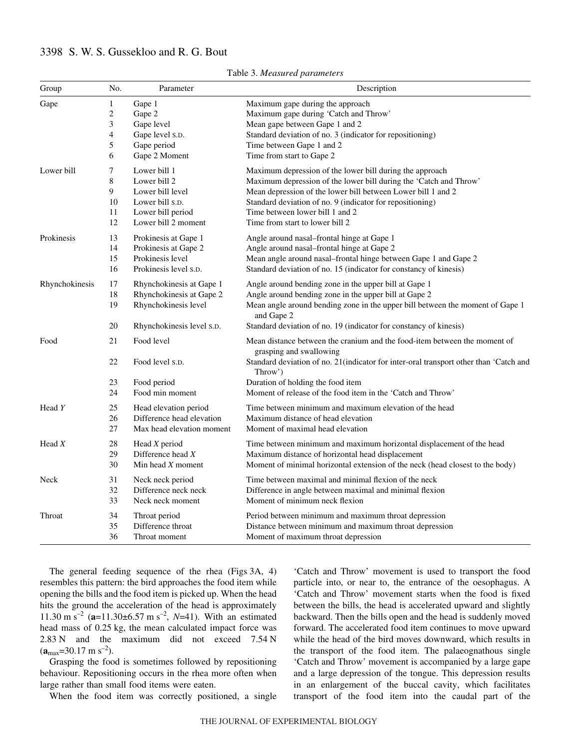# 3398 S. W. S. Gussekloo and R. G. Bout

| Group          | No.            | Parameter                                                                    | Description                                                                                                                                                                                                   |
|----------------|----------------|------------------------------------------------------------------------------|---------------------------------------------------------------------------------------------------------------------------------------------------------------------------------------------------------------|
| Gape           | $\mathbf{1}$   | Gape 1                                                                       | Maximum gape during the approach                                                                                                                                                                              |
|                | $\overline{c}$ | Gape 2                                                                       | Maximum gape during 'Catch and Throw'                                                                                                                                                                         |
|                | 3              | Gape level                                                                   | Mean gape between Gape 1 and 2                                                                                                                                                                                |
|                | 4              | Gape level s.D.                                                              | Standard deviation of no. 3 (indicator for repositioning)                                                                                                                                                     |
|                | 5              | Gape period                                                                  | Time between Gape 1 and 2                                                                                                                                                                                     |
|                | 6              | Gape 2 Moment                                                                | Time from start to Gape 2                                                                                                                                                                                     |
| Lower bill     | 7              | Lower bill 1                                                                 | Maximum depression of the lower bill during the approach                                                                                                                                                      |
|                | 8              | Lower bill 2                                                                 | Maximum depression of the lower bill during the 'Catch and Throw'                                                                                                                                             |
|                | 9              | Lower bill level                                                             | Mean depression of the lower bill between Lower bill 1 and 2                                                                                                                                                  |
|                | 10             | Lower bill s.D.                                                              | Standard deviation of no. 9 (indicator for repositioning)                                                                                                                                                     |
|                | 11             | Lower bill period                                                            | Time between lower bill 1 and 2                                                                                                                                                                               |
|                | 12             | Lower bill 2 moment                                                          | Time from start to lower bill 2                                                                                                                                                                               |
| Prokinesis     | 13             | Prokinesis at Gape 1                                                         | Angle around nasal-frontal hinge at Gape 1                                                                                                                                                                    |
|                | 14             | Prokinesis at Gape 2                                                         | Angle around nasal-frontal hinge at Gape 2                                                                                                                                                                    |
|                | 15             | Prokinesis level                                                             | Mean angle around nasal-frontal hinge between Gape 1 and Gape 2                                                                                                                                               |
|                | 16             | Prokinesis level s. <sub>D</sub> .                                           | Standard deviation of no. 15 (indicator for constancy of kinesis)                                                                                                                                             |
| Rhynchokinesis | 17<br>18<br>19 | Rhynchokinesis at Gape 1<br>Rhynchokinesis at Gape 2<br>Rhynchokinesis level | Angle around bending zone in the upper bill at Gape 1<br>Angle around bending zone in the upper bill at Gape 2<br>Mean angle around bending zone in the upper bill between the moment of Gape 1<br>and Gape 2 |
|                | 20             | Rhynchokinesis level s.D.                                                    | Standard deviation of no. 19 (indicator for constancy of kinesis)                                                                                                                                             |
| Food           | 21<br>22       | Food level<br>Food level s.D.                                                | Mean distance between the cranium and the food-item between the moment of<br>grasping and swallowing<br>Standard deviation of no. 21(indicator for inter-oral transport other than 'Catch and<br>Throw')      |
|                | 23             | Food period                                                                  | Duration of holding the food item                                                                                                                                                                             |
|                | 24             | Food min moment                                                              | Moment of release of the food item in the 'Catch and Throw'                                                                                                                                                   |
| Head $Y$       | 25             | Head elevation period                                                        | Time between minimum and maximum elevation of the head                                                                                                                                                        |
|                | 26             | Difference head elevation                                                    | Maximum distance of head elevation                                                                                                                                                                            |
|                | 27             | Max head elevation moment                                                    | Moment of maximal head elevation                                                                                                                                                                              |
| Head $X$       | $28\,$         | Head X period                                                                | Time between minimum and maximum horizontal displacement of the head                                                                                                                                          |
|                | 29             | Difference head $X$                                                          | Maximum distance of horizontal head displacement                                                                                                                                                              |
|                | 30             | Min head $X$ moment                                                          | Moment of minimal horizontal extension of the neck (head closest to the body)                                                                                                                                 |
| Neck           | 31             | Neck neck period                                                             | Time between maximal and minimal flexion of the neck                                                                                                                                                          |
|                | 32             | Difference neck neck                                                         | Difference in angle between maximal and minimal flexion                                                                                                                                                       |
|                | 33             | Neck neck moment                                                             | Moment of minimum neck flexion                                                                                                                                                                                |
| Throat         | 34             | Throat period                                                                | Period between minimum and maximum throat depression                                                                                                                                                          |
|                | 35             | Difference throat                                                            | Distance between minimum and maximum throat depression                                                                                                                                                        |
|                | 36             | Throat moment                                                                | Moment of maximum throat depression                                                                                                                                                                           |

Table·3. *Measured parameters*

The general feeding sequence of the rhea (Figs 3A, 4) resembles this pattern: the bird approaches the food item while opening the bills and the food item is picked up. When the head hits the ground the acceleration of the head is approximately 11.30 m s<sup>-2</sup> (a=11.30±6.57 m s<sup>-2</sup>, *N*=41). With an estimated head mass of 0.25 kg, the mean calculated impact force was  $2.83 \text{ N}$  and the maximum did not exceed  $7.54 \text{ N}$  $(a_{\text{max}}=30.17 \text{ m s}^{-2}).$ 

Grasping the food is sometimes followed by repositioning behaviour. Repositioning occurs in the rhea more often when large rather than small food items were eaten.

When the food item was correctly positioned, a single

'Catch and Throw' movement is used to transport the food particle into, or near to, the entrance of the oesophagus. A 'Catch and Throw' movement starts when the food is fixed between the bills, the head is accelerated upward and slightly backward. Then the bills open and the head is suddenly moved forward. The accelerated food item continues to move upward while the head of the bird moves downward, which results in the transport of the food item. The palaeognathous single 'Catch and Throw' movement is accompanied by a large gape and a large depression of the tongue. This depression results in an enlargement of the buccal cavity, which facilitates transport of the food item into the caudal part of the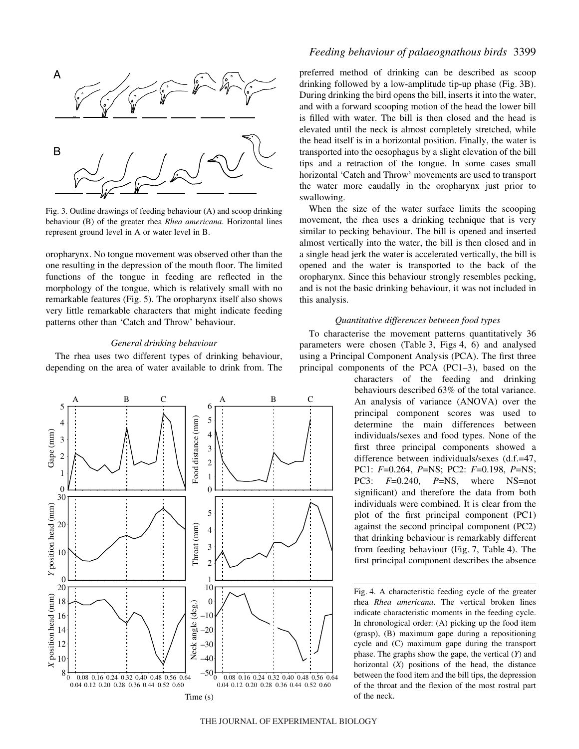

Fig. 3. Outline drawings of feeding behaviour (A) and scoop drinking behaviour (B) of the greater rhea *Rhea americana*. Horizontal lines represent ground level in A or water level in B.

oropharynx. No tongue movement was observed other than the one resulting in the depression of the mouth floor. The limited functions of the tongue in feeding are reflected in the morphology of the tongue, which is relatively small with no remarkable features (Fig. 5). The oropharynx itself also shows very little remarkable characters that might indicate feeding patterns other than 'Catch and Throw' behaviour.

#### *General drinking behaviour*

The rhea uses two different types of drinking behaviour, depending on the area of water available to drink from. The



## *Feeding behaviour of palaeognathous birds* 3399

preferred method of drinking can be described as scoop drinking followed by a low-amplitude tip-up phase (Fig. 3B). During drinking the bird opens the bill, inserts it into the water, and with a forward scooping motion of the head the lower bill is filled with water. The bill is then closed and the head is elevated until the neck is almost completely stretched, while the head itself is in a horizontal position. Finally, the water is transported into the oesophagus by a slight elevation of the bill tips and a retraction of the tongue. In some cases small horizontal 'Catch and Throw' movements are used to transport the water more caudally in the oropharynx just prior to swallowing.

When the size of the water surface limits the scooping movement, the rhea uses a drinking technique that is very similar to pecking behaviour. The bill is opened and inserted almost vertically into the water, the bill is then closed and in a single head jerk the water is accelerated vertically, the bill is opened and the water is transported to the back of the oropharynx. Since this behaviour strongly resembles pecking, and is not the basic drinking behaviour, it was not included in this analysis.

### *Quantitative differences between food types*

To characterise the movement patterns quantitatively 36 parameters were chosen (Table 3, Figs 4, 6) and analysed using a Principal Component Analysis (PCA). The first three principal components of the PCA (PC1–3), based on the

> characters of the feeding and drinking behaviours described 63% of the total variance. An analysis of variance (ANOVA) over the principal component scores was used to determine the main differences between individuals/sexes and food types. None of the first three principal components showed a difference between individuals/sexes (d.f.=47, PC1: *F*=0.264, *P*=NS; PC2: *F*=0.198, *P*=NS; PC3: *F*=0.240, *P*=NS, where NS=not significant) and therefore the data from both individuals were combined. It is clear from the plot of the first principal component (PC1) against the second principal component (PC2) that drinking behaviour is remarkably different from feeding behaviour (Fig. 7, Table 4). The first principal component describes the absence

> Fig. 4. A characteristic feeding cycle of the greater rhea *Rhea americana*. The vertical broken lines indicate characteristic moments in the feeding cycle. In chronological order: (A) picking up the food item (grasp), (B) maximum gape during a repositioning cycle and (C) maximum gape during the transport phase. The graphs show the gape, the vertical (*Y*) and horizontal (*X*) positions of the head, the distance between the food item and the bill tips, the depression of the throat and the flexion of the most rostral part of the neck.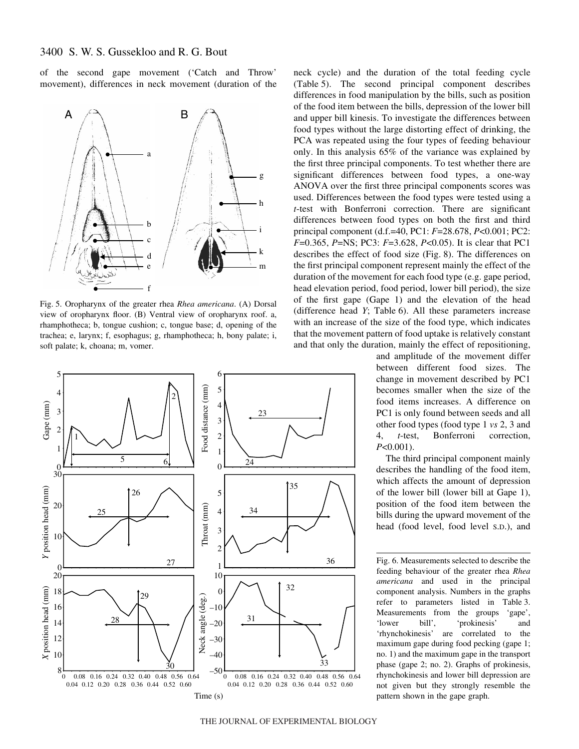of the second gape movement ('Catch and Throw' movement), differences in neck movement (duration of the



Fig. 5. Oropharynx of the greater rhea *Rhea americana*. (A) Dorsal view of oropharynx floor. (B) Ventral view of oropharynx roof. a, rhamphotheca; b, tongue cushion; c, tongue base; d, opening of the trachea; e, larynx; f, esophagus; g, rhamphotheca; h, bony palate; i, soft palate; k, choana; m, vomer.



neck cycle) and the duration of the total feeding cycle (Table 5). The second principal component describes differences in food manipulation by the bills, such as position of the food item between the bills, depression of the lower bill and upper bill kinesis. To investigate the differences between food types without the large distorting effect of drinking, the PCA was repeated using the four types of feeding behaviour only. In this analysis 65% of the variance was explained by the first three principal components. To test whether there are significant differences between food types, a one-way ANOVA over the first three principal components scores was used. Differences between the food types were tested using a *t*-test with Bonferroni correction. There are significant differences between food types on both the first and third principal component (d.f.=40, PC1: *F*=28.678, *P*<0.001; PC2: *F*=0.365, *P*=NS; PC3: *F*=3.628, *P*<0.05). It is clear that PC1 describes the effect of food size (Fig. 8). The differences on the first principal component represent mainly the effect of the duration of the movement for each food type (e.g. gape period, head elevation period, food period, lower bill period), the size of the first gape (Gape 1) and the elevation of the head (difference head *Y*; Table 6). All these parameters increase with an increase of the size of the food type, which indicates that the movement pattern of food uptake is relatively constant and that only the duration, mainly the effect of repositioning,

> and amplitude of the movement differ between different food sizes. The change in movement described by PC1 becomes smaller when the size of the food items increases. A difference on PC1 is only found between seeds and all other food types (food type 1 *vs* 2, 3 and 4, *t*-test, Bonferroni correction, *P*<0.001).

> The third principal component mainly describes the handling of the food item, which affects the amount of depression of the lower bill (lower bill at Gape 1), position of the food item between the bills during the upward movement of the head (food level, food level S.D.), and

> Fig. 6. Measurements selected to describe the feeding behaviour of the greater rhea *Rhea americana* and used in the principal component analysis. Numbers in the graphs refer to parameters listed in Table 3. Measurements from the groups 'gape', 'lower bill', 'prokinesis' and 'rhynchokinesis' are correlated to the maximum gape during food pecking (gape 1; no. 1) and the maximum gape in the transport phase (gape 2; no. 2). Graphs of prokinesis, rhynchokinesis and lower bill depression are not given but they strongly resemble the pattern shown in the gape graph.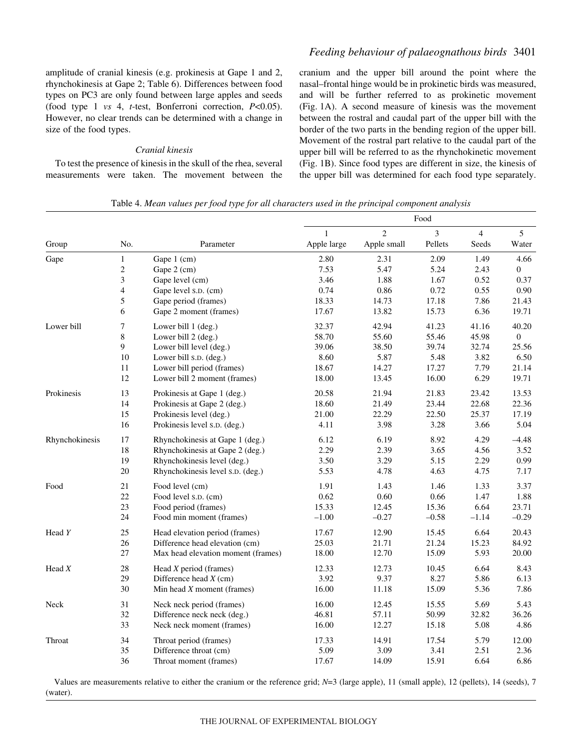amplitude of cranial kinesis (e.g. prokinesis at Gape 1 and 2, rhynchokinesis at Gape 2; Table 6). Differences between food types on PC3 are only found between large apples and seeds (food type 1 *vs* 4, *t*-test, Bonferroni correction, *P*<0.05). However, no clear trends can be determined with a change in size of the food types.

## *Cranial kinesis*

To test the presence of kinesis in the skull of the rhea, several measurements were taken. The movement between the

# *Feeding behaviour of palaeognathous birds* 3401

cranium and the upper bill around the point where the nasal–frontal hinge would be in prokinetic birds was measured, and will be further referred to as prokinetic movement (Fig. 1A). A second measure of kinesis was the movement between the rostral and caudal part of the upper bill with the border of the two parts in the bending region of the upper bill. Movement of the rostral part relative to the caudal part of the upper bill will be referred to as the rhynchokinetic movement (Fig. 1B). Since food types are different in size, the kinesis of the upper bill was determined for each food type separately.

Table 4. *Mean values per food type for all characters used in the principal component analysis* 

|                |                         |                                    | Food        |                |         |                |                  |
|----------------|-------------------------|------------------------------------|-------------|----------------|---------|----------------|------------------|
|                |                         |                                    | 1           | $\overline{2}$ | 3       | $\overline{4}$ | 5                |
| Group          | No.                     | Parameter                          | Apple large | Apple small    | Pellets | Seeds          | Water            |
| Gape           | $\,1\,$                 | Gape 1 (cm)                        | 2.80        | 2.31           | 2.09    | 1.49           | 4.66             |
|                | $\sqrt{2}$              | Gape 2 (cm)                        | 7.53        | 5.47           | 5.24    | 2.43           | $\overline{0}$   |
|                | $\mathfrak{Z}$          | Gape level (cm)                    | 3.46        | 1.88           | 1.67    | 0.52           | 0.37             |
|                | $\overline{\mathbf{4}}$ | Gape level s.D. (cm)               | 0.74        | 0.86           | 0.72    | 0.55           | 0.90             |
|                | 5                       | Gape period (frames)               | 18.33       | 14.73          | 17.18   | 7.86           | 21.43            |
|                | 6                       | Gape 2 moment (frames)             | 17.67       | 13.82          | 15.73   | 6.36           | 19.71            |
| Lower bill     | $\tau$                  | Lower bill 1 (deg.)                | 32.37       | 42.94          | 41.23   | 41.16          | 40.20            |
|                | $\,8\,$                 | Lower bill 2 (deg.)                | 58.70       | 55.60          | 55.46   | 45.98          | $\boldsymbol{0}$ |
|                | $\overline{9}$          | Lower bill level (deg.)            | 39.06       | 38.50          | 39.74   | 32.74          | 25.56            |
|                | 10                      | Lower bill s.D. (deg.)             | 8.60        | 5.87           | 5.48    | 3.82           | 6.50             |
|                | 11                      | Lower bill period (frames)         | 18.67       | 14.27          | 17.27   | 7.79           | 21.14            |
|                | 12                      | Lower bill 2 moment (frames)       | 18.00       | 13.45          | 16.00   | 6.29           | 19.71            |
| Prokinesis     | 13                      | Prokinesis at Gape 1 (deg.)        | 20.58       | 21.94          | 21.83   | 23.42          | 13.53            |
|                | 14                      | Prokinesis at Gape 2 (deg.)        | 18.60       | 21.49          | 23.44   | 22.68          | 22.36            |
|                | 15                      | Prokinesis level (deg.)            | 21.00       | 22.29          | 22.50   | 25.37          | 17.19            |
|                | 16                      | Prokinesis level s.D. (deg.)       | 4.11        | 3.98           | 3.28    | 3.66           | 5.04             |
| Rhynchokinesis | 17                      | Rhynchokinesis at Gape 1 (deg.)    | 6.12        | 6.19           | 8.92    | 4.29           | $-4.48$          |
|                | 18                      | Rhynchokinesis at Gape 2 (deg.)    | 2.29        | 2.39           | 3.65    | 4.56           | 3.52             |
|                | 19                      | Rhynchokinesis level (deg.)        | 3.50        | 3.29           | 5.15    | 2.29           | 0.99             |
|                | 20                      | Rhynchokinesis level s.D. (deg.)   | 5.53        | 4.78           | 4.63    | 4.75           | 7.17             |
| Food           | 21                      | Food level (cm)                    | 1.91        | 1.43           | 1.46    | 1.33           | 3.37             |
|                | 22                      | Food level s.D. (cm)               | 0.62        | 0.60           | 0.66    | 1.47           | 1.88             |
|                | 23                      | Food period (frames)               | 15.33       | 12.45          | 15.36   | 6.64           | 23.71            |
|                | 24                      | Food min moment (frames)           | $-1.00$     | $-0.27$        | $-0.58$ | $-1.14$        | $-0.29$          |
| Head $Y$       | 25                      | Head elevation period (frames)     | 17.67       | 12.90          | 15.45   | 6.64           | 20.43            |
|                | 26                      | Difference head elevation (cm)     | 25.03       | 21.71          | 21.24   | 15.23          | 84.92            |
|                | 27                      | Max head elevation moment (frames) | 18.00       | 12.70          | 15.09   | 5.93           | 20.00            |
| Head $X$       | 28                      | Head $X$ period (frames)           | 12.33       | 12.73          | 10.45   | 6.64           | 8.43             |
|                | 29                      | Difference head $X$ (cm)           | 3.92        | 9.37           | 8.27    | 5.86           | 6.13             |
|                | 30                      | Min head $X$ moment (frames)       | 16.00       | 11.18          | 15.09   | 5.36           | 7.86             |
| Neck           | 31                      | Neck neck period (frames)          | 16.00       | 12.45          | 15.55   | 5.69           | 5.43             |
|                | 32                      | Difference neck neck (deg.)        | 46.81       | 57.11          | 50.99   | 32.82          | 36.26            |
|                | 33                      | Neck neck moment (frames)          | 16.00       | 12.27          | 15.18   | 5.08           | 4.86             |
| Throat         | 34                      | Throat period (frames)             | 17.33       | 14.91          | 17.54   | 5.79           | 12.00            |
|                | 35                      | Difference throat (cm)             | 5.09        | 3.09           | 3.41    | 2.51           | 2.36             |
|                | 36                      | Throat moment (frames)             | 17.67       | 14.09          | 15.91   | 6.64           | 6.86             |

Values are measurements relative to either the cranium or the reference grid; *N*=3 (large apple), 11 (small apple), 12 (pellets), 14 (seeds), 7 (water).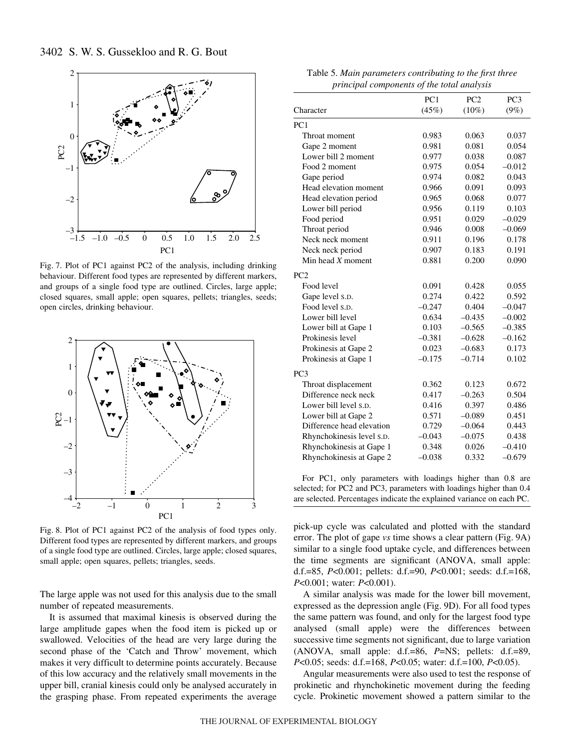

Fig. 7. Plot of PC1 against PC2 of the analysis, including drinking behaviour. Different food types are represented by different markers, and groups of a single food type are outlined. Circles, large apple; closed squares, small apple; open squares, pellets; triangles, seeds; open circles, drinking behaviour.



Fig. 8. Plot of PC1 against PC2 of the analysis of food types only. Different food types are represented by different markers, and groups of a single food type are outlined. Circles, large apple; closed squares, small apple; open squares, pellets; triangles, seeds.

The large apple was not used for this analysis due to the small number of repeated measurements.

It is assumed that maximal kinesis is observed during the large amplitude gapes when the food item is picked up or swallowed. Velocities of the head are very large during the second phase of the 'Catch and Throw' movement, which makes it very difficult to determine points accurately. Because of this low accuracy and the relatively small movements in the upper bill, cranial kinesis could only be analysed accurately in the grasping phase. From repeated experiments the average

| Table 5. Main parameters contributing to the first three |  |  |
|----------------------------------------------------------|--|--|
| principal components of the total analysis               |  |  |

| principal components of the total analysis |          |                 |                 |
|--------------------------------------------|----------|-----------------|-----------------|
|                                            | PC1      | PC <sub>2</sub> | PC <sub>3</sub> |
| Character                                  | (45%)    | $(10\%)$        | $(9\%)$         |
| PC <sub>1</sub>                            |          |                 |                 |
| Throat moment                              | 0.983    | 0.063           | 0.037           |
| Gape 2 moment                              | 0.981    | 0.081           | 0.054           |
| Lower bill 2 moment                        | 0.977    | 0.038           | 0.087           |
| Food 2 moment                              | 0.975    | 0.054           | $-0.012$        |
| Gape period                                | 0.974    | 0.082           | 0.043           |
| Head elevation moment                      | 0.966    | 0.091           | 0.093           |
| Head elevation period                      | 0.965    | 0.068           | 0.077           |
| Lower bill period                          | 0.956    | 0.119           | 0.103           |
| Food period                                | 0.951    | 0.029           | $-0.029$        |
| Throat period                              | 0.946    | 0.008           | $-0.069$        |
| Neck neck moment                           | 0.911    | 0.196           | 0.178           |
| Neck neck period                           | 0.907    | 0.183           | 0.191           |
| Min head $X$ moment                        | 0.881    | 0.200           | 0.090           |
| PC2                                        |          |                 |                 |
| Food level                                 | 0.091    | 0.428           | 0.055           |
| Gape level s.D.                            | 0.274    | 0.422           | 0.592           |
| Food level s.p.                            | $-0.247$ | 0.404           | $-0.047$        |
| Lower bill level                           | 0.634    | $-0.435$        | $-0.002$        |
| Lower bill at Gape 1                       | 0.103    | $-0.565$        | $-0.385$        |
| Prokinesis level                           | $-0.381$ | $-0.628$        | $-0.162$        |
| Prokinesis at Gape 2                       | 0.023    | $-0.683$        | 0.173           |
| Prokinesis at Gape 1                       | $-0.175$ | $-0.714$        | 0.102           |
| PC <sub>3</sub>                            |          |                 |                 |
| Throat displacement                        | 0.362    | 0.123           | 0.672           |
| Difference neck neck                       | 0.417    | $-0.263$        | 0.504           |
| Lower bill level s.p.                      | 0.416    | 0.397           | 0.486           |
| Lower bill at Gape 2                       | 0.571    | $-0.089$        | 0.451           |
| Difference head elevation                  | 0.729    | $-0.064$        | 0.443           |
| Rhynchokinesis level s.D.                  | $-0.043$ | $-0.075$        | 0.438           |
| Rhynchokinesis at Gape 1                   | 0.348    | 0.026           | $-0.410$        |
| Rhynchokinesis at Gape 2                   | $-0.038$ | 0.332           | $-0.679$        |

For PC1, only parameters with loadings higher than 0.8 are selected; for PC2 and PC3, parameters with loadings higher than 0.4 are selected. Percentages indicate the explained variance on each PC.

pick-up cycle was calculated and plotted with the standard error. The plot of gape *vs* time shows a clear pattern (Fig. 9A) similar to a single food uptake cycle, and differences between the time segments are significant (ANOVA, small apple: d.f.=85, *P*<0.001; pellets: d.f.=90, *P*<0.001; seeds: d.f.=168, *P*<0.001; water: *P*<0.001).

A similar analysis was made for the lower bill movement, expressed as the depression angle (Fig. 9D). For all food types the same pattern was found, and only for the largest food type analysed (small apple) were the differences between successive time segments not significant, due to large variation (ANOVA, small apple: d.f.=86, *P*=NS; pellets: d.f.=89, *P*<0.05; seeds: d.f.=168, *P*<0.05; water: d.f.=100, *P*<0.05).

Angular measurements were also used to test the response of prokinetic and rhynchokinetic movement during the feeding cycle. Prokinetic movement showed a pattern similar to the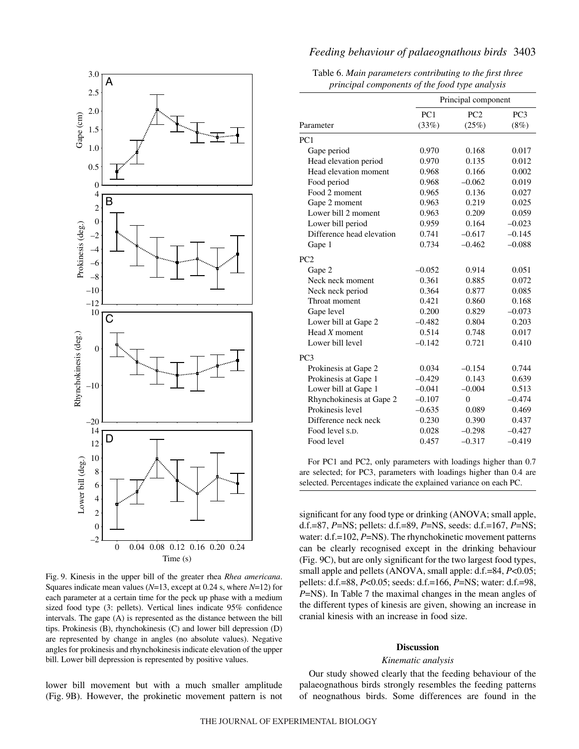

Fig. 9. Kinesis in the upper bill of the greater rhea *Rhea americana*. Squares indicate mean values ( $N=13$ , except at 0.24 s, where  $N=12$ ) for each parameter at a certain time for the peck up phase with a medium sized food type (3: pellets). Vertical lines indicate 95% confidence intervals. The gape (A) is represented as the distance between the bill tips. Prokinesis (B), rhynchokinesis (C) and lower bill depression (D) are represented by change in angles (no absolute values). Negative angles for prokinesis and rhynchokinesis indicate elevation of the upper bill. Lower bill depression is represented by positive values.

lower bill movement but with a much smaller amplitude (Fig. 9B). However, the prokinetic movement pattern is not

# *Feeding behaviour of palaeognathous birds* 3403

Table 6. *Main parameters contributing to the first three principal components of the food type analysis*

|                           | Principal component |          |                 |  |  |
|---------------------------|---------------------|----------|-----------------|--|--|
|                           | PC1                 | PC2      | PC <sub>3</sub> |  |  |
| Parameter                 | (33%)               | (25%)    | $(8\%)$         |  |  |
| PC <sub>1</sub>           |                     |          |                 |  |  |
| Gape period               | 0.970               | 0.168    | 0.017           |  |  |
| Head elevation period     | 0.970               | 0.135    | 0.012           |  |  |
| Head elevation moment     | 0.968               | 0.166    | 0.002           |  |  |
| Food period               | 0.968               | $-0.062$ | 0.019           |  |  |
| Food 2 moment             | 0.965               | 0.136    | 0.027           |  |  |
| Gape 2 moment             | 0.963               | 0.219    | 0.025           |  |  |
| Lower bill 2 moment       | 0.963               | 0.209    | 0.059           |  |  |
| Lower bill period         | 0.959               | 0.164    | $-0.023$        |  |  |
| Difference head elevation | 0.741               | $-0.617$ | $-0.145$        |  |  |
| Gape 1                    | 0.734               | $-0.462$ | $-0.088$        |  |  |
| PC2                       |                     |          |                 |  |  |
| Gape 2                    | $-0.052$            | 0.914    | 0.051           |  |  |
| Neck neck moment          | 0.361               | 0.885    | 0.072           |  |  |
| Neck neck period          | 0.364               | 0.877    | 0.085           |  |  |
| Throat moment             | 0.421               | 0.860    | 0.168           |  |  |
| Gape level                | 0.200               | 0.829    | $-0.073$        |  |  |
| Lower bill at Gape 2      | $-0.482$            | 0.804    | 0.203           |  |  |
| Head $X$ moment           | 0.514               | 0.748    | 0.017           |  |  |
| Lower bill level          | $-0.142$            | 0.721    | 0.410           |  |  |
| PC <sub>3</sub>           |                     |          |                 |  |  |
| Prokinesis at Gape 2      | 0.034               | $-0.154$ | 0.744           |  |  |
| Prokinesis at Gape 1      | $-0.429$            | 0.143    | 0.639           |  |  |
| Lower bill at Gape 1      | $-0.041$            | $-0.004$ | 0.513           |  |  |
| Rhynchokinesis at Gape 2  | $-0.107$            | $\theta$ | $-0.474$        |  |  |
| Prokinesis level          | $-0.635$            | 0.089    | 0.469           |  |  |
| Difference neck neck      | 0.230               | 0.390    | 0.437           |  |  |
| Food level s.D.           | 0.028               | $-0.298$ | $-0.427$        |  |  |
| Food level                | 0.457               | $-0.317$ | $-0.419$        |  |  |

For PC1 and PC2, only parameters with loadings higher than 0.7 are selected; for PC3, parameters with loadings higher than 0.4 are selected. Percentages indicate the explained variance on each PC.

significant for any food type or drinking (ANOVA; small apple, d.f.=87, *P*=NS; pellets: d.f.=89, *P*=NS, seeds: d.f.=167, *P*=NS; water: d.f.=102, *P*=NS). The rhynchokinetic movement patterns can be clearly recognised except in the drinking behaviour (Fig. 9C), but are only significant for the two largest food types, small apple and pellets (ANOVA, small apple: d.f.=84, *P*<0.05; pellets: d.f.=88, *P*<0.05; seeds: d.f.=166, *P*=NS; water: d.f.=98, *P*=NS). In Table 7 the maximal changes in the mean angles of the different types of kinesis are given, showing an increase in cranial kinesis with an increase in food size.

#### **Discussion**

#### *Kinematic analysis*

Our study showed clearly that the feeding behaviour of the palaeognathous birds strongly resembles the feeding patterns of neognathous birds. Some differences are found in the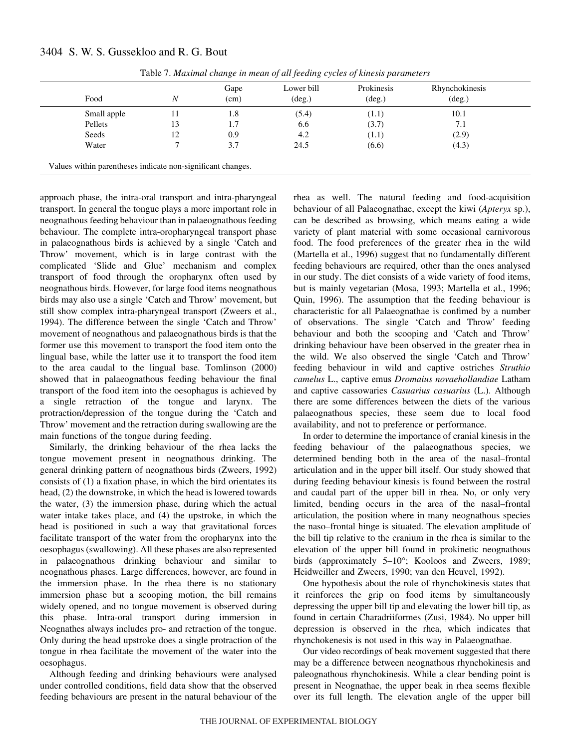| Food        | N  | Gape<br>(cm) | Lower bill<br>$(\text{deg.})$ | Prokinesis<br>$(\text{deg.})$ | Rhynchokinesis<br>$(\text{deg.})$ |
|-------------|----|--------------|-------------------------------|-------------------------------|-----------------------------------|
| Small apple | 11 | 1.8          | (5.4)                         | (1.1)                         | 10.1                              |
| Pellets     | 13 | 1.7          | 6.6                           | (3.7)                         | 7.1                               |
| Seeds       | 12 | 0.9          | 4.2                           | (1.1)                         | (2.9)                             |
| Water       |    | 3.7          | 24.5                          | (6.6)                         | (4.3)                             |

3404 S. W. S. Gussekloo and R. G. Bout

| Table 7. Maximal change in mean of all feeding cycles of kinesis parameters |  |  |  |
|-----------------------------------------------------------------------------|--|--|--|
|                                                                             |  |  |  |

approach phase, the intra-oral transport and intra-pharyngeal transport. In general the tongue plays a more important role in neognathous feeding behaviour than in palaeognathous feeding behaviour. The complete intra-oropharyngeal transport phase in palaeognathous birds is achieved by a single 'Catch and Throw' movement, which is in large contrast with the complicated 'Slide and Glue' mechanism and complex transport of food through the oropharynx often used by neognathous birds. However, for large food items neognathous birds may also use a single 'Catch and Throw' movement, but still show complex intra-pharyngeal transport (Zweers et al., 1994). The difference between the single 'Catch and Throw' movement of neognathous and palaeognathous birds is that the former use this movement to transport the food item onto the lingual base, while the latter use it to transport the food item to the area caudal to the lingual base. Tomlinson (2000) showed that in palaeognathous feeding behaviour the final transport of the food item into the oesophagus is achieved by a single retraction of the tongue and larynx. The protraction/depression of the tongue during the 'Catch and Throw' movement and the retraction during swallowing are the main functions of the tongue during feeding.

Similarly, the drinking behaviour of the rhea lacks the tongue movement present in neognathous drinking. The general drinking pattern of neognathous birds (Zweers, 1992) consists of (1) a fixation phase, in which the bird orientates its head, (2) the downstroke, in which the head is lowered towards the water, (3) the immersion phase, during which the actual water intake takes place, and (4) the upstroke, in which the head is positioned in such a way that gravitational forces facilitate transport of the water from the oropharynx into the oesophagus (swallowing). All these phases are also represented in palaeognathous drinking behaviour and similar to neognathous phases. Large differences, however, are found in the immersion phase. In the rhea there is no stationary immersion phase but a scooping motion, the bill remains widely opened, and no tongue movement is observed during this phase. Intra-oral transport during immersion in Neognathes always includes pro- and retraction of the tongue. Only during the head upstroke does a single protraction of the tongue in rhea facilitate the movement of the water into the oesophagus.

Although feeding and drinking behaviours were analysed under controlled conditions, field data show that the observed feeding behaviours are present in the natural behaviour of the rhea as well. The natural feeding and food-acquisition behaviour of all Palaeognathae, except the kiwi (*Apteryx* sp.), can be described as browsing, which means eating a wide variety of plant material with some occasional carnivorous food. The food preferences of the greater rhea in the wild (Martella et al., 1996) suggest that no fundamentally different feeding behaviours are required, other than the ones analysed in our study. The diet consists of a wide variety of food items, but is mainly vegetarian (Mosa, 1993; Martella et al., 1996; Quin, 1996). The assumption that the feeding behaviour is characteristic for all Palaeognathae is confimed by a number of observations. The single 'Catch and Throw' feeding behaviour and both the scooping and 'Catch and Throw' drinking behaviour have been observed in the greater rhea in the wild. We also observed the single 'Catch and Throw' feeding behaviour in wild and captive ostriches *Struthio camelus* L., captive emus *Dromaius novaehollandiae* Latham and captive cassowaries *Casuarius casuarius* (L.). Although there are some differences between the diets of the various palaeognathous species, these seem due to local food availability, and not to preference or performance.

In order to determine the importance of cranial kinesis in the feeding behaviour of the palaeognathous species, we determined bending both in the area of the nasal–frontal articulation and in the upper bill itself. Our study showed that during feeding behaviour kinesis is found between the rostral and caudal part of the upper bill in rhea. No, or only very limited, bending occurs in the area of the nasal–frontal articulation, the position where in many neognathous species the naso–frontal hinge is situated. The elevation amplitude of the bill tip relative to the cranium in the rhea is similar to the elevation of the upper bill found in prokinetic neognathous birds (approximately 5–10°; Kooloos and Zweers, 1989; Heidweiller and Zweers, 1990; van den Heuvel, 1992).

One hypothesis about the role of rhynchokinesis states that it reinforces the grip on food items by simultaneously depressing the upper bill tip and elevating the lower bill tip, as found in certain Charadriiformes (Zusi, 1984). No upper bill depression is observed in the rhea, which indicates that rhynchokenesis is not used in this way in Palaeognathae.

Our video recordings of beak movement suggested that there may be a difference between neognathous rhynchokinesis and paleognathous rhynchokinesis. While a clear bending point is present in Neognathae, the upper beak in rhea seems flexible over its full length. The elevation angle of the upper bill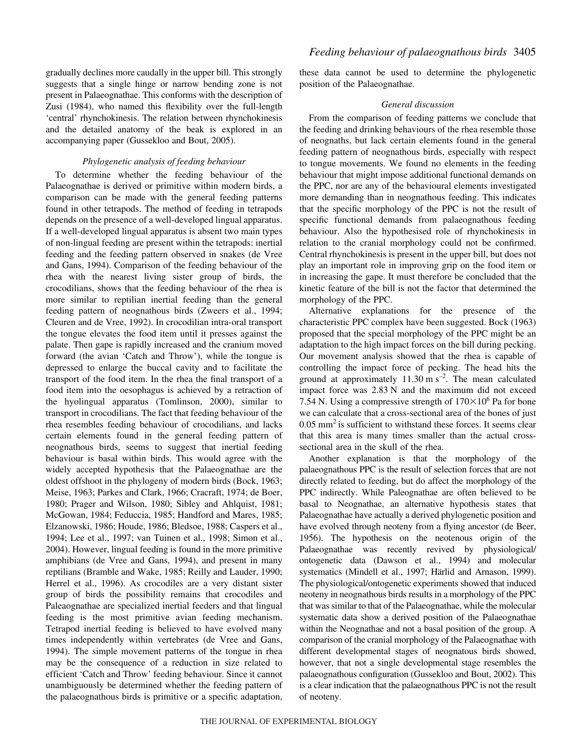gradually declines more caudally in the upper bill. This strongly suggests that a single hinge or narrow bending zone is not present in Palaeognathae. This conforms with the description of Zusi (1984), who named this flexibility over the full-length 'central' rhynchokinesis. The relation between rhynchokinesis and the detailed anatomy of the beak is explored in an accompanying paper (Gussekloo and Bout, 2005).

#### *Phylogenetic analysis of feeding behaviour*

To determine whether the feeding behaviour of the Palaeognathae is derived or primitive within modern birds, a comparison can be made with the general feeding patterns found in other tetrapods. The method of feeding in tetrapods depends on the presence of a well-developed lingual apparatus. If a well-developed lingual apparatus is absent two main types of non-lingual feeding are present within the tetrapods: inertial feeding and the feeding pattern observed in snakes (de Vree and Gans, 1994). Comparison of the feeding behaviour of the rhea with the nearest living sister group of birds, the crocodilians, shows that the feeding behaviour of the rhea is more similar to reptilian inertial feeding than the general feeding pattern of neognathous birds (Zweers et al., 1994; Cleuren and de Vree, 1992). In crocodilian intra-oral transport the tongue elevates the food item until it presses against the palate. Then gape is rapidly increased and the cranium moved forward (the avian 'Catch and Throw'), while the tongue is depressed to enlarge the buccal cavity and to facilitate the transport of the food item. In the rhea the final transport of a food item into the oesophagus is achieved by a retraction of the hyolingual apparatus (Tomlinson, 2000), similar to transport in crocodilians. The fact that feeding behaviour of the rhea resembles feeding behaviour of crocodilians, and lacks certain elements found in the general feeding pattern of neognathous birds, seems to suggest that inertial feeding behaviour is basal within birds. This would agree with the widely accepted hypothesis that the Palaeognathae are the oldest offshoot in the phylogeny of modern birds (Bock, 1963; Meise, 1963; Parkes and Clark, 1966; Cracraft, 1974; de Boer, 1980; Prager and Wilson, 1980; Sibley and Ahlquist, 1981; McGowan, 1984; Feduccia, 1985; Handford and Mares, 1985; Elzanowski, 1986; Houde, 1986; Bledsoe, 1988; Caspers et al., 1994; Lee et al., 1997; van Tuinen et al., 1998; Simon et al., 2004). However, lingual feeding is found in the more primitive amphibians (de Vree and Gans, 1994), and present in many reptilians (Bramble and Wake, 1985; Reilly and Lauder, 1990; Herrel et al., 1996). As crocodiles are a very distant sister group of birds the possibility remains that crocodiles and Paleaognathae are specialized inertial feeders and that lingual feeding is the most primitive avian feeding mechanism. Tetrapod inertial feeding is believed to have evolved many times independently within vertebrates (de Vree and Gans, 1994). The simple movement patterns of the tongue in rhea may be the consequence of a reduction in size related to efficient 'Catch and Throw' feeding behaviour. Since it cannot unambiguously be determined whether the feeding pattern of the palaeognathous birds is primitive or a specific adaptation, these data cannot be used to determine the phylogenetic position of the Palaeognathae.

#### *General discussion*

From the comparison of feeding patterns we conclude that the feeding and drinking behaviours of the rhea resemble those of neognaths, but lack certain elements found in the general feeding pattern of neognathous birds, especially with respect to tongue movements. We found no elements in the feeding behaviour that might impose additional functional demands on the PPC, nor are any of the behavioural elements investigated more demanding than in neognathous feeding. This indicates that the specific morphology of the PPC is not the result of specific functional demands from palaeognathous feeding behaviour. Also the hypothesised role of rhynchokinesis in relation to the cranial morphology could not be confirmed. Central rhynchokinesis is present in the upper bill, but does not play an important role in improving grip on the food item or in increasing the gape. It must therefore be concluded that the kinetic feature of the bill is not the factor that determined the morphology of the PPC.

Alternative explanations for the presence of the characteristic PPC complex have been suggested. Bock (1963) proposed that the special morphology of the PPC might be an adaptation to the high impact forces on the bill during pecking. Our movement analysis showed that the rhea is capable of controlling the impact force of pecking. The head hits the ground at approximately  $11.30 \text{ m s}^{-2}$ . The mean calculated impact force was 2.83 N and the maximum did not exceed 7.54 N. Using a compressive strength of  $170\times10^6$  Pa for bone we can calculate that a cross-sectional area of the bones of just  $0.05~\mathrm{mm}^2$  is sufficient to withstand these forces. It seems clear that this area is many times smaller than the actual crosssectional area in the skull of the rhea.

Another explanation is that the morphology of the palaeognathous PPC is the result of selection forces that are not directly related to feeding, but do affect the morphology of the PPC indirectly. While Paleognathae are often believed to be basal to Neognathae, an alternative hypothesis states that Palaeognathae have actually a derived phylogenetic position and have evolved through neoteny from a flying ancestor (de Beer, 1956). The hypothesis on the neotenous origin of the Palaeognathae was recently revived by physiological/ ontogenetic data (Dawson et al., 1994) and molecular systematics (Mindell et al., 1997; Härlid and Arnason, 1999). The physiological/ontogenetic experiments showed that induced neoteny in neognathous birds results in a morphology of the PPC that was similar to that of the Palaeognathae, while the molecular systematic data show a derived position of the Palaeognathae within the Neognathae and not a basal position of the group. A comparison of the cranial morphology of the Palaeognathae with different developmental stages of neognatous birds showed, however, that not a single developmental stage resembles the palaeognathous configuration (Gussekloo and Bout, 2002). This is a clear indication that the palaeognathous PPC is not the result of neoteny.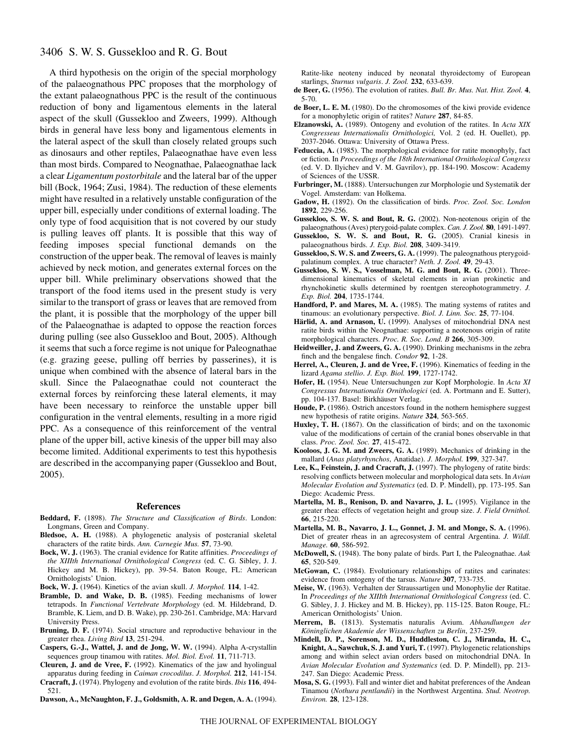# 3406 S. W. S. Gussekloo and R. G. Bout

A third hypothesis on the origin of the special morphology of the palaeognathous PPC proposes that the morphology of the extant palaeognathous PPC is the result of the continuous reduction of bony and ligamentous elements in the lateral aspect of the skull (Gussekloo and Zweers, 1999). Although birds in general have less bony and ligamentous elements in the lateral aspect of the skull than closely related groups such as dinosaurs and other reptiles, Palaeognathae have even less than most birds. Compared to Neognathae, Palaeognathae lack a clear *Ligamentum postorbitale* and the lateral bar of the upper bill (Bock, 1964; Zusi, 1984). The reduction of these elements might have resulted in a relatively unstable configuration of the upper bill, especially under conditions of external loading. The only type of food acquisition that is not covered by our study is pulling leaves off plants. It is possible that this way of feeding imposes special functional demands on the construction of the upper beak. The removal of leaves is mainly achieved by neck motion, and generates external forces on the upper bill. While preliminary observations showed that the transport of the food items used in the present study is very similar to the transport of grass or leaves that are removed from the plant, it is possible that the morphology of the upper bill of the Palaeognathae is adapted to oppose the reaction forces during pulling (see also Gussekloo and Bout, 2005). Although it seems that such a force regime is not unique for Paleognathae (e.g. grazing geese, pulling off berries by passerines), it is unique when combined with the absence of lateral bars in the skull. Since the Palaeognathae could not counteract the external forces by reinforcing these lateral elements, it may have been necessary to reinforce the unstable upper bill configuration in the ventral elements, resulting in a more rigid PPC. As a consequence of this reinforcement of the ventral plane of the upper bill, active kinesis of the upper bill may also become limited. Additional experiments to test this hypothesis are described in the accompanying paper (Gussekloo and Bout, 2005).

#### **References**

- **Beddard, F.** (1898). *The Structure and Classification of Birds*. London: Longmans, Green and Company.
- **Bledsoe, A. H.** (1988). A phylogenetic analysis of postcranial skeletal characters of the ratite birds. *Ann. Carnegie Mus.* **57**, 73-90.
- **Bock, W. J.** (1963). The cranial evidence for Ratite affinities. *Proceedings of the XIIIth International Ornithological Congress* (ed. C. G. Sibley, J. J. Hickey and M. B. Hickey), pp. 39-54. Baton Rouge, FL: American Ornithologists' Union.
- **Bock, W. J.** (1964). Kinetics of the avian skull. *J. Morphol.* **114**, 1-42.
- **Bramble, D. and Wake, D. B.** (1985). Feeding mechanisms of lower tetrapods. In *Functional Vertebrate Morphology* (ed. M. Hildebrand, D. Bramble, K. Liem, and D. B. Wake), pp. 230-261. Cambridge, MA: Harvard University Press.
- **Bruning, D. F.** (1974). Social structure and reproductive behaviour in the greater rhea. *Living Bird* **13**, 251-294.
- **Caspers, G.-J., Wattel, J. and de Jong, W. W.** (1994). Alpha A-crystallin sequences group tinamou with ratites. *Mol. Biol. Evol.* **11**, 711-713.
- **Cleuren, J. and de Vree, F.** (1992). Kinematics of the jaw and hyolingual apparatus during feeding in *Caiman crocodilus*. *J. Morphol.* **212**, 141-154.
- **Cracraft, J.** (1974). Phylogeny and evolution of the ratite birds. *Ibis* **116**, 494- 521.

**Dawson, A., McNaughton, F. J., Goldsmith, A. R. and Degen, A. A.** (1994).

Ratite-like neoteny induced by neonatal thyroidectomy of European starlings, *Sturnus vulgaris*. *J. Zool.* **232**, 633-639.

- **de Beer, G.** (1956). The evolution of ratites. *Bull. Br. Mus. Nat. Hist. Zool.* **4**, 5-70.
- **de Boer, L. E. M.** (1980). Do the chromosomes of the kiwi provide evidence for a monophyletic origin of ratites? *Nature* **287**, 84-85.
- **Elzanowski, A.** (1989). Ontogeny and evolution of the ratites. In *Acta XIX Congresseus Internationalis Ornithologici,* Vol. 2 (ed. H. Ouellet), pp. 2037-2046. Ottawa: University of Ottawa Press.
- **Feduccia, A.** (1985). The morphological evidence for ratite monophyly, fact or fiction. In *Proceedings of the 18th International Ornithological Congress* (ed. V. D. Ilyichev and V. M. Gavrilov), pp. 184-190. Moscow: Academy of Sciences of the USSR.
- **Furbringer, M.** (1888). Untersuchungen zur Morphologie und Systematik der Vogel. Amsterdam: van Holkema.
- **Gadow, H.** (1892). On the classification of birds. *Proc. Zool. Soc. London* **1892**, 229-256.
- **Gussekloo, S. W. S. and Bout, R. G.** (2002). Non-neotenous origin of the palaeognathous (Aves) pterygoid-palate complex. *Can. J. Zool.* **80**, 1491-1497.
- **Gussekloo, S. W. S. and Bout, R. G.** (2005). Cranial kinesis in palaeognathous birds. *J. Exp. Biol.* **208**, 3409-3419.
- **Gussekloo, S. W. S. and Zweers, G. A.** (1999). The paleognathous pterygoidpalatinum complex. A true character? *Neth. J. Zool.* **49**, 29-43.
- **Gussekloo, S. W. S., Vosselman, M. G. and Bout, R. G.** (2001). Threedimensional kinematics of skeletal elements in avian prokinetic and rhynchokinetic skulls determined by roentgen stereophotogrammetry. *J. Exp. Biol.* **204**, 1735-1744.
- **Handford, P. and Mares, M. A.** (1985). The mating systems of ratites and tinamous: an evolutionary perspective. *Biol. J. Linn. Soc.* **25**, 77-104.
- Härlid, A. and Arnason, U. (1999). Analyses of mitochondrial DNA nest ratite birds within the Neognathae: supporting a neotenous origin of ratite morphological characters. *Proc. R. Soc. Lond. B* **266**, 305-309.
- **Heidweiller, J. and Zweers, G. A.** (1990). Drinking mechanisms in the zebra finch and the bengalese finch. *Condor* **92**, 1-28.
- **Herrel, A., Cleuren, J. and de Vree, F.** (1996). Kinematics of feeding in the lizard *Agama stellio*. *J. Exp. Biol.* **199**, 1727-1742.
- **Hofer, H.** (1954). Neue Untersuchungen zur Kopf Morphologie. In *Acta XI Congressus Internationalis Ornithologici* (ed. A. Portmann and E. Sutter), pp. 104-137. Basel: Birkhäuser Verlag.
- **Houde, P.** (1986). Ostrich ancestors found in the nothern hemisphere suggest new hypothesis of ratite origins. *Nature* **324**, 563-565.
- **Huxley, T. H.** (1867). On the classification of birds; and on the taxonomic value of the modifications of certain of the cranial bones observable in that class. *Proc. Zool. Soc.* **27**, 415-472.
- **Kooloos, J. G. M. and Zweers, G. A.** (1989). Mechanics of drinking in the mallard (*Anas platyrhynchos*, Anatidae). *J. Morphol.* **199**, 327-347.
- **Lee, K., Feinstein, J. and Cracraft, J.** (1997). The phylogeny of ratite birds: resolving conflicts between molecular and morphological data sets. In *Avian Molecular Evolution and Systematics* (ed. D. P. Mindell), pp. 173-195. San Diego: Academic Press.
- **Martella, M. B., Renison, D. and Navarro, J. L.** (1995). Vigilance in the greater rhea: effects of vegetation height and group size. *J. Field Ornithol.* **66**, 215-220.
- **Martella, M. B., Navarro, J. L., Gonnet, J. M. and Monge, S. A.** (1996). Diet of greater rheas in an agrecosystem of central Argentina. *J. Wildl. Manage.* **60**, 586-592.
- **McDowell, S.** (1948). The bony palate of birds. Part I, the Paleognathae. *Auk* **65**, 520-549.
- **McGowan, C.** (1984). Evolutionary relationships of ratites and carinates: evidence from ontogeny of the tarsus. *Nature* **307**, 733-735.
- **Meise, W.** (1963). Verhalten der Straussartigen und Monophylie der Ratitae. In *Proceedings of the XIIIth International Ornithological Congress* (ed. C. G. Sibley, J. J. Hickey and M. B. Hickey), pp. 115-125. Baton Rouge, FL: American Ornithologists' Union.
- **Merrem, B.** (1813). Systematis naturalis Avium. *Abhandlungen der Köninglichen Akademie der Wissenschaften zu Berlin*, 237-259.
- **Mindell, D. P., Sorenson, M. D., Huddleston, C. J., Miranda, H. C., Knight, A., Sawchuk, S. J. and Yuri, T.** (1997). Phylogenetic relationships among and within select avian orders based on mitochondrial DNA. In *Avian Molecular Evolution and Systematics* (ed. D. P. Mindell), pp. 213- 247. San Diego: Academic Press.
- **Mosa, S. G.** (1993). Fall and winter diet and habitat preferences of the Andean Tinamou (*Nothura pentlandii*) in the Northwest Argentina. *Stud. Neotrop. Environ.* **28**, 123-128.